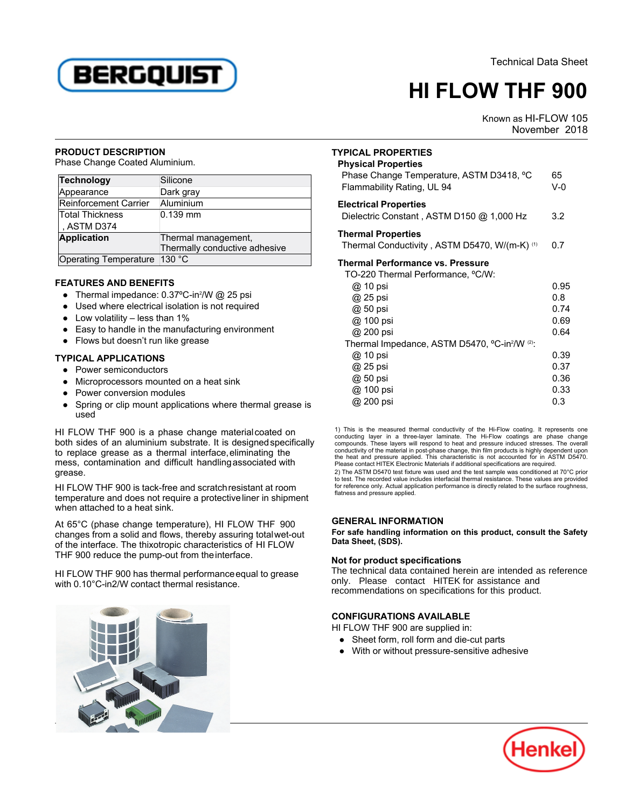

# **HI FLOW THF 900**

 Known as HI-FLOW 105 as Film Low Too<br>November 2018

## **PRODUCT DESCRIPTION**

Phase Change Coated Aluminium.

| <b>Technology</b>            | Silicone                      |
|------------------------------|-------------------------------|
| Appearance                   | Dark gray                     |
| Reinforcement Carrier        | Aluminium                     |
| <b>Total Thickness</b>       | $0.139$ mm                    |
| , ASTM D374                  |                               |
| <b>Application</b>           | Thermal management,           |
|                              | Thermally conductive adhesive |
| Operating Temperature 130 °C |                               |

## **FEATURES AND BENEFITS**

- Thermal impedance: 0.37ºC-in<sup>2</sup> /W @ 25 psi
- $\bullet$  Used where electrical isolation is not required
- Low volatility less than 1%
- Easy to handle in the manufacturing environment
- Flows but doesn't run like grease

# **TYPICAL APPLICATIONS**

- Power semiconductors
- Microprocessors mounted on a heat sink
- **Power conversion modules**
- used● Spring or clip mount applications where thermal grease is

HI FLOW THF 900 is a phase change materialcoated on both sides of an aluminium substrate. It is designedspecifically to replace grease as a thermal interface,eliminating the mess, contamination and difficult handlingassociated with grease.

HI FLOW THF 900 is tack-free and scratchresistant at room this EOW This books tack free and scrutch esistent at foom when attached to a heat sink.

At 65°C (phase change temperature), HI FLOW THF 900 changes from a solid and flows, thereby assuring totalwet-out of the interface. The thixotropic characteristics of HI FLOW THF 900 reduce the pump-out from theinterface.

HI FLOW THF 900 has thermal performanceequal to grease with 0.10°C-in2/W contact thermal resistance.



| <b>TYPICAL PROPERTIES</b><br><b>Physical Properties</b><br>Phase Change Temperature, ASTM D3418, °C<br>Flammability Rating, UL 94 | 65<br>$V-0$  |
|-----------------------------------------------------------------------------------------------------------------------------------|--------------|
| <b>Electrical Properties</b><br>Dielectric Constant, ASTM D150 @ 1,000 Hz                                                         | 3.2          |
| <b>Thermal Properties</b><br>Thermal Conductivity, ASTM D5470, W/(m-K) (1)                                                        |              |
| <b>Thermal Performance vs. Pressure</b><br>TO-220 Thermal Performance, °C/W:                                                      |              |
| @ 10 psi<br>@ 25 psi                                                                                                              | 0.95<br>0.8  |
| @ 50 psi<br>@ 100 psi                                                                                                             | 0.74<br>0.69 |
| @ 200 psi<br>Thermal Impedance, ASTM D5470, °C-in <sup>2</sup> /W (2):                                                            | 0.64         |
| @ 10 psi                                                                                                                          | 0.39         |
| @ 25 psi<br>@ 50 psi                                                                                                              | 0.37<br>0.36 |
| @ 100 psi                                                                                                                         | 0.33         |
| @ 200 nsi                                                                                                                         | 0.3.         |

1) This is the measured thermal conductivity of the Hi-Flow coating. It represents one conducting layer in a three-layer laminate. The Hi-Flow coatings are phase change compounds. These layers will respond to heat and pressure induced stresses. The overall conductivity of the material in post-phase change, thin film products is highly dependent upon the heat and pressure applied. This characteristic is not accounted for in ASTM D5470. Please contact HITEK Electronic Materials if additional specifications are required.

2) The ASTM D5470 test fixture was used and the test sample was conditioned at 70°C prior to test. The recorded value includes interfacial thermal resistance. These values are provided for reference only. Actual application performance is directly related to the surface roughness,flatness and pressure applied.

## **GENERAL INFORMATION**

**For safe handling information on this product, consult the Safety Data Sheet, (SDS).**

# **Not for product specifications**

The technical data contained herein are intended as reference only. Please contact HITEK for assistance and recommendations on specifications for this product.

# **CONFIGURATIONS AVAILABLE**

HI FLOW THF 900 are supplied in:

- Sheet form, roll form and die-cut parts
- With or without pressure-sensitive adhesive